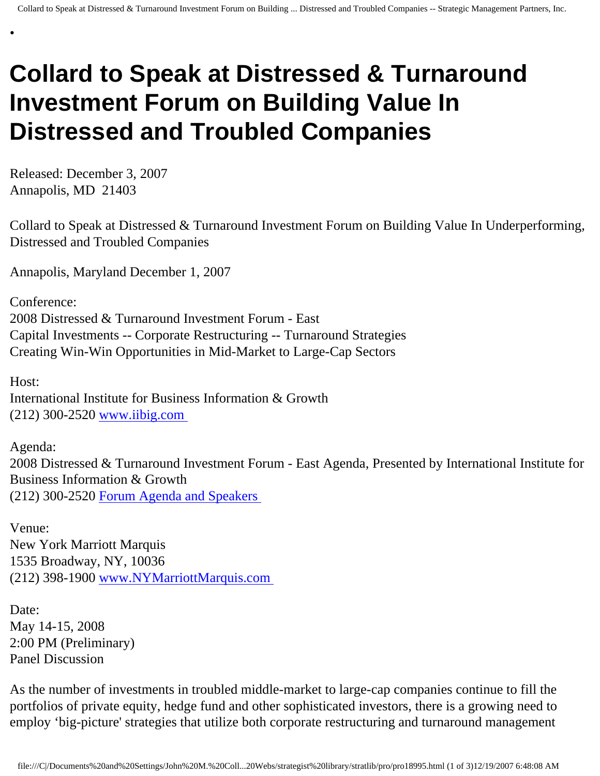## **Collard to Speak at Distressed & Turnaround Investment Forum on Building Value In Distressed and Troubled Companies**

Released: December 3, 2007 Annapolis, MD 21403

•

Collard to Speak at Distressed & Turnaround Investment Forum on Building Value In Underperforming, Distressed and Troubled Companies

Annapolis, Maryland December 1, 2007

Conference: 2008 Distressed & Turnaround Investment Forum - East Capital Investments -- Corporate Restructuring -- Turnaround Strategies Creating Win-Win Opportunities in Mid-Market to Large-Cap Sectors

Host: International Institute for Business Information & Growth (212) 300-2520 [www.iibig.com](http://www.iibig.com/)

Agenda: 2008 Distressed & Turnaround Investment Forum - East Agenda, Presented by International Institute for Business Information & Growth (212) 300-2520 [Forum Agenda and Speakers](http://www.iibig.com/conferences/F0801/overview.html)

Venue: New York Marriott Marquis 1535 Broadway, NY, 10036 (212) 398-1900 [www.NYMarriottMarquis.com](http://www.nymarriottmarquis.com/) 

Date: May 14-15, 2008 2:00 PM (Preliminary) Panel Discussion

As the number of investments in troubled middle-market to large-cap companies continue to fill the portfolios of private equity, hedge fund and other sophisticated investors, there is a growing need to employ 'big-picture' strategies that utilize both corporate restructuring and turnaround management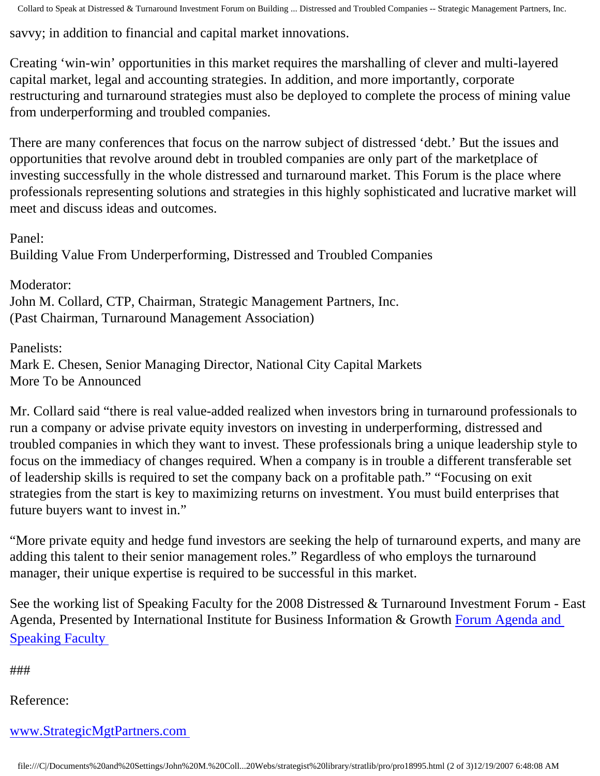Collard to Speak at Distressed & Turnaround Investment Forum on Building ... Distressed and Troubled Companies -- Strategic Management Partners, Inc.

savvy; in addition to financial and capital market innovations.

Creating 'win-win' opportunities in this market requires the marshalling of clever and multi-layered capital market, legal and accounting strategies. In addition, and more importantly, corporate restructuring and turnaround strategies must also be deployed to complete the process of mining value from underperforming and troubled companies.

There are many conferences that focus on the narrow subject of distressed 'debt.' But the issues and opportunities that revolve around debt in troubled companies are only part of the marketplace of investing successfully in the whole distressed and turnaround market. This Forum is the place where professionals representing solutions and strategies in this highly sophisticated and lucrative market will meet and discuss ideas and outcomes.

Panel:

Building Value From Underperforming, Distressed and Troubled Companies

Moderator: John M. Collard, CTP, Chairman, Strategic Management Partners, Inc. (Past Chairman, Turnaround Management Association)

Panelists:

Mark E. Chesen, Senior Managing Director, National City Capital Markets More To be Announced

Mr. Collard said "there is real value-added realized when investors bring in turnaround professionals to run a company or advise private equity investors on investing in underperforming, distressed and troubled companies in which they want to invest. These professionals bring a unique leadership style to focus on the immediacy of changes required. When a company is in trouble a different transferable set of leadership skills is required to set the company back on a profitable path." "Focusing on exit strategies from the start is key to maximizing returns on investment. You must build enterprises that future buyers want to invest in."

"More private equity and hedge fund investors are seeking the help of turnaround experts, and many are adding this talent to their senior management roles." Regardless of who employs the turnaround manager, their unique expertise is required to be successful in this market.

See the working list of Speaking Faculty for the 2008 Distressed & Turnaround Investment Forum - East Agenda, Presented by International Institute for Business Information & Growth [Forum Agenda and](http://www.iibig.com/conferences/F0801/overview.html)  [Speaking Faculty](http://www.iibig.com/conferences/F0801/overview.html) 

###

Reference:

## [www.StrategicMgtPartners.com](http://www.strategicmgtpartners.com/)